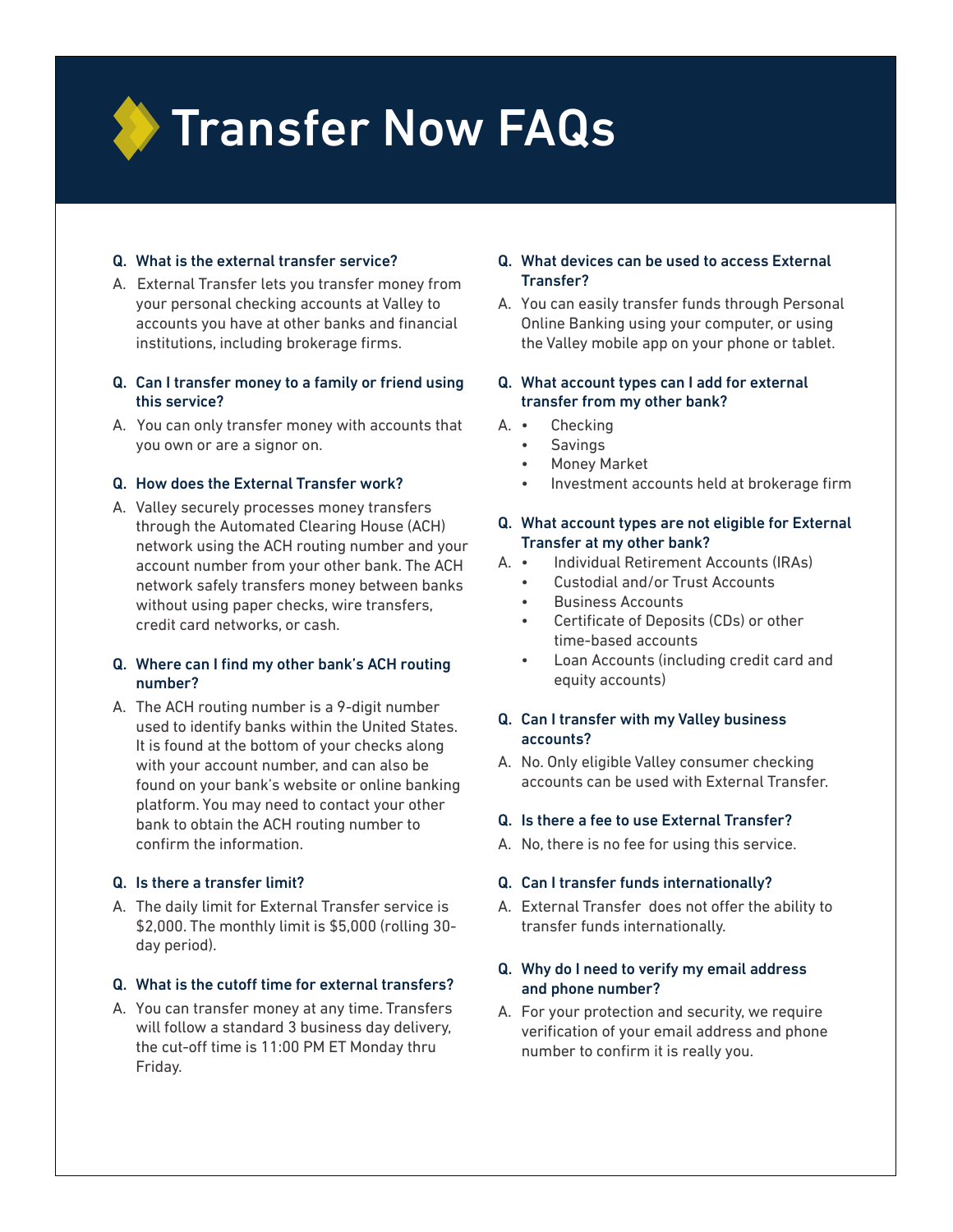

### Q. What is the external transfer service?

- A. External Transfer lets you transfer money from your personal checking accounts at Valley to accounts you have at other banks and financial institutions, including brokerage firms.
- Q. Can I transfer money to a family or friend using this service?
- A. You can only transfer money with accounts that you own or are a signor on.

### Q. How does the External Transfer work?

A. Valley securely processes money transfers through the Automated Clearing House (ACH) network using the ACH routing number and your account number from your other bank. The ACH network safely transfers money between banks without using paper checks, wire transfers, credit card networks, or cash.

### Q. Where can I find my other bank's ACH routing number?

A. The ACH routing number is a 9-digit number used to identify banks within the United States. It is found at the bottom of your checks along with your account number, and can also be found on your bank's website or online banking platform. You may need to contact your other bank to obtain the ACH routing number to confirm the information.

# Q. Is there a transfer limit?

A. The daily limit for External Transfer service is \$2,000. The monthly limit is \$5,000 (rolling 30 day period).

#### Q. What is the cutoff time for external transfers?

A. You can transfer money at any time. Transfers will follow a standard 3 business day delivery, the cut-off time is 11:00 PM ET Monday thru Friday.

# Q. What devices can be used to access External Transfer?

A. You can easily transfer funds through Personal Online Banking using your computer, or using the Valley mobile app on your phone or tablet.

# Q. What account types can I add for external transfer from my other bank?

- A. Checking
	- **Savings**
	- Money Market
	- Investment accounts held at brokerage firm

### Q. What account types are not eligible for External Transfer at my other bank?

- A. Individual Retirement Accounts (IRAs)
	- Custodial and/or Trust Accounts
	- Business Accounts
	- Certificate of Deposits (CDs) or other time-based accounts
	- Loan Accounts (including credit card and equity accounts)

# Q. Can I transfer with my Valley business accounts?

A. No. Only eligible Valley consumer checking accounts can be used with External Transfer.

# Q. Is there a fee to use External Transfer?

A. No, there is no fee for using this service.

# Q. Can I transfer funds internationally?

A. External Transfer does not offer the ability to transfer funds internationally.

# Q. Why do I need to verify my email address and phone number?

A. For your protection and security, we require verification of your email address and phone number to confirm it is really you.